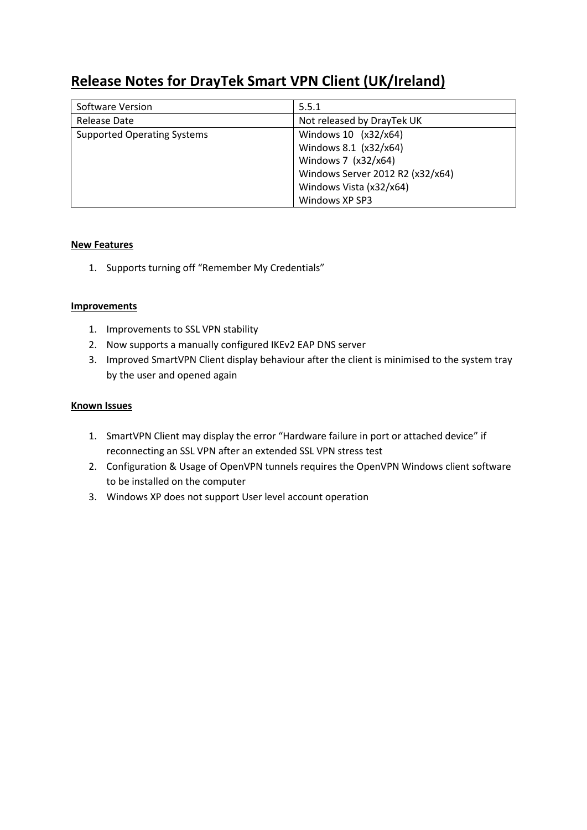# **Release Notes for DrayTek Smart VPN Client (UK/Ireland)**

| Software Version                   | 5.5.1                            |
|------------------------------------|----------------------------------|
| Release Date                       | Not released by DrayTek UK       |
| <b>Supported Operating Systems</b> | Windows 10 (x32/x64)             |
|                                    | Windows 8.1 (x32/x64)            |
|                                    | Windows 7 (x32/x64)              |
|                                    | Windows Server 2012 R2 (x32/x64) |
|                                    | Windows Vista (x32/x64)          |
|                                    | Windows XP SP3                   |

# **New Features**

1. Supports turning off "Remember My Credentials"

### **Improvements**

- 1. Improvements to SSL VPN stability
- 2. Now supports a manually configured IKEv2 EAP DNS server
- 3. Improved SmartVPN Client display behaviour after the client is minimised to the system tray by the user and opened again

- 1. SmartVPN Client may display the error "Hardware failure in port or attached device" if reconnecting an SSL VPN after an extended SSL VPN stress test
- 2. Configuration & Usage of OpenVPN tunnels requires the OpenVPN Windows client software to be installed on the computer
- 3. Windows XP does not support User level account operation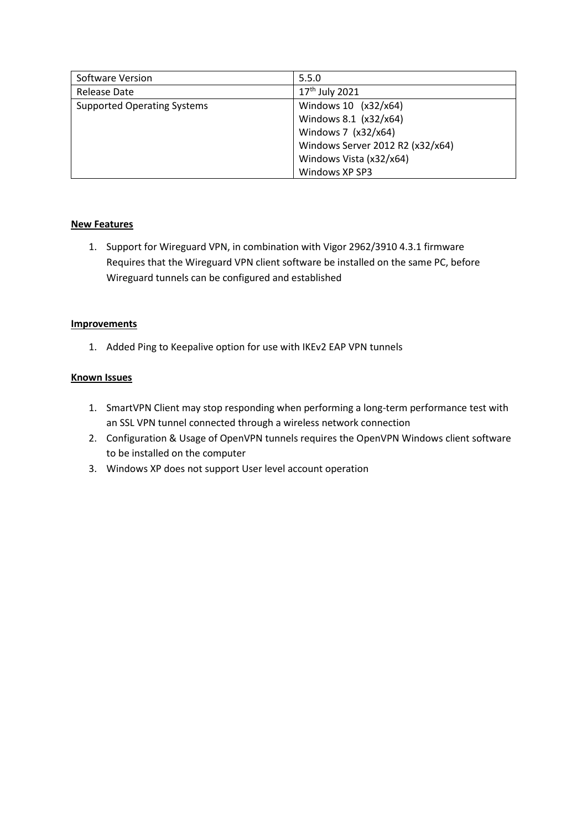| Software Version                   | 5.5.0                            |
|------------------------------------|----------------------------------|
| Release Date                       | 17 <sup>th</sup> July 2021       |
| <b>Supported Operating Systems</b> | Windows 10 (x32/x64)             |
|                                    | Windows 8.1 (x32/x64)            |
|                                    | Windows 7 (x32/x64)              |
|                                    | Windows Server 2012 R2 (x32/x64) |
|                                    | Windows Vista (x32/x64)          |
|                                    | Windows XP SP3                   |

1. Support for Wireguard VPN, in combination with Vigor 2962/3910 4.3.1 firmware Requires that the Wireguard VPN client software be installed on the same PC, before Wireguard tunnels can be configured and established

#### **Improvements**

1. Added Ping to Keepalive option for use with IKEv2 EAP VPN tunnels

- 1. SmartVPN Client may stop responding when performing a long-term performance test with an SSL VPN tunnel connected through a wireless network connection
- 2. Configuration & Usage of OpenVPN tunnels requires the OpenVPN Windows client software to be installed on the computer
- 3. Windows XP does not support User level account operation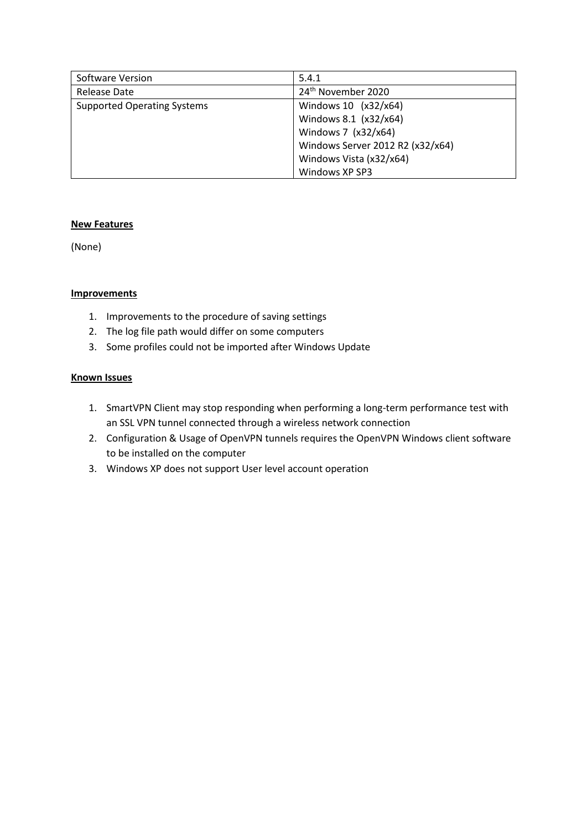| Software Version                   | 5.4.1                            |
|------------------------------------|----------------------------------|
| Release Date                       | 24 <sup>th</sup> November 2020   |
| <b>Supported Operating Systems</b> | Windows 10 (x32/x64)             |
|                                    | Windows 8.1 (x32/x64)            |
|                                    | Windows 7 (x32/x64)              |
|                                    | Windows Server 2012 R2 (x32/x64) |
|                                    | Windows Vista (x32/x64)          |
|                                    | Windows XP SP3                   |

(None)

### **Improvements**

- 1. Improvements to the procedure of saving settings
- 2. The log file path would differ on some computers
- 3. Some profiles could not be imported after Windows Update

- 1. SmartVPN Client may stop responding when performing a long-term performance test with an SSL VPN tunnel connected through a wireless network connection
- 2. Configuration & Usage of OpenVPN tunnels requires the OpenVPN Windows client software to be installed on the computer
- 3. Windows XP does not support User level account operation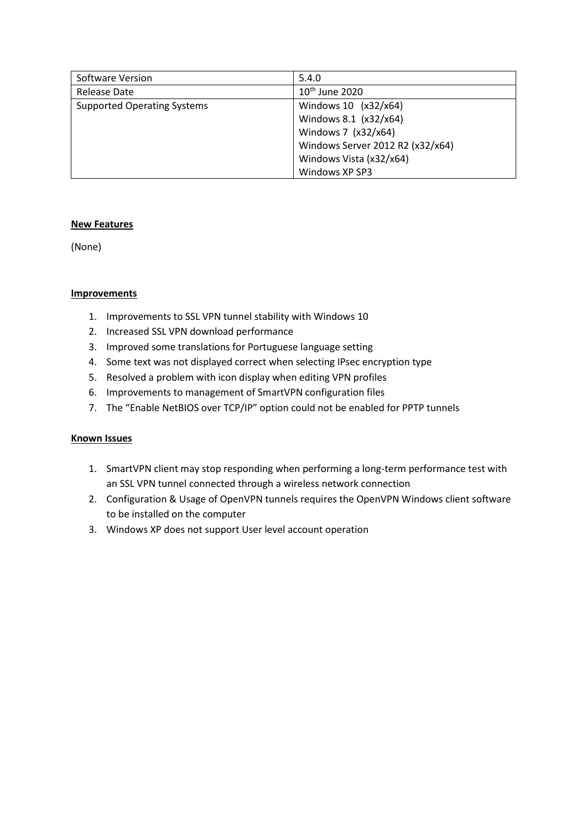| Software Version                   | 5.4.0                            |
|------------------------------------|----------------------------------|
| Release Date                       | $10th$ June 2020                 |
| <b>Supported Operating Systems</b> | Windows 10 (x32/x64)             |
|                                    | Windows 8.1 (x32/x64)            |
|                                    | Windows 7 (x32/x64)              |
|                                    | Windows Server 2012 R2 (x32/x64) |
|                                    | Windows Vista (x32/x64)          |
|                                    | Windows XP SP3                   |

(None)

#### **Improvements**

- 1. Improvements to SSL VPN tunnel stability with Windows 10
- 2. Increased SSL VPN download performance
- 3. Improved some translations for Portuguese language setting
- 4. Some text was not displayed correct when selecting IPsec encryption type
- 5. Resolved a problem with icon display when editing VPN profiles
- 6. Improvements to management of SmartVPN configuration files
- 7. The "Enable NetBIOS over TCP/IP" option could not be enabled for PPTP tunnels

- 1. SmartVPN client may stop responding when performing a long-term performance test with an SSL VPN tunnel connected through a wireless network connection
- 2. Configuration & Usage of OpenVPN tunnels requires the OpenVPN Windows client software to be installed on the computer
- 3. Windows XP does not support User level account operation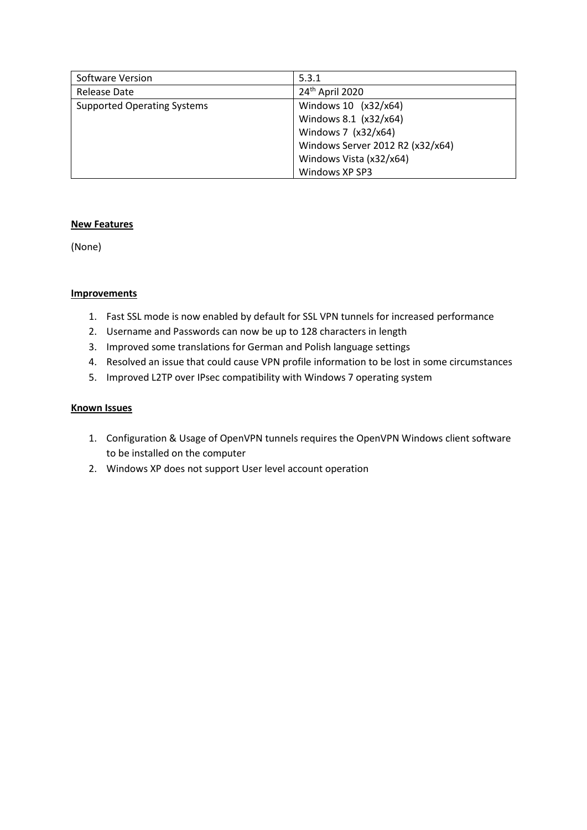| Software Version                   | 5.3.1                            |
|------------------------------------|----------------------------------|
| Release Date                       | 24th April 2020                  |
| <b>Supported Operating Systems</b> | Windows 10 (x32/x64)             |
|                                    | Windows 8.1 (x32/x64)            |
|                                    | Windows 7 (x32/x64)              |
|                                    | Windows Server 2012 R2 (x32/x64) |
|                                    | Windows Vista (x32/x64)          |
|                                    | Windows XP SP3                   |

(None)

#### **Improvements**

- 1. Fast SSL mode is now enabled by default for SSL VPN tunnels for increased performance
- 2. Username and Passwords can now be up to 128 characters in length
- 3. Improved some translations for German and Polish language settings
- 4. Resolved an issue that could cause VPN profile information to be lost in some circumstances
- 5. Improved L2TP over IPsec compatibility with Windows 7 operating system

- 1. Configuration & Usage of OpenVPN tunnels requires the OpenVPN Windows client software to be installed on the computer
- 2. Windows XP does not support User level account operation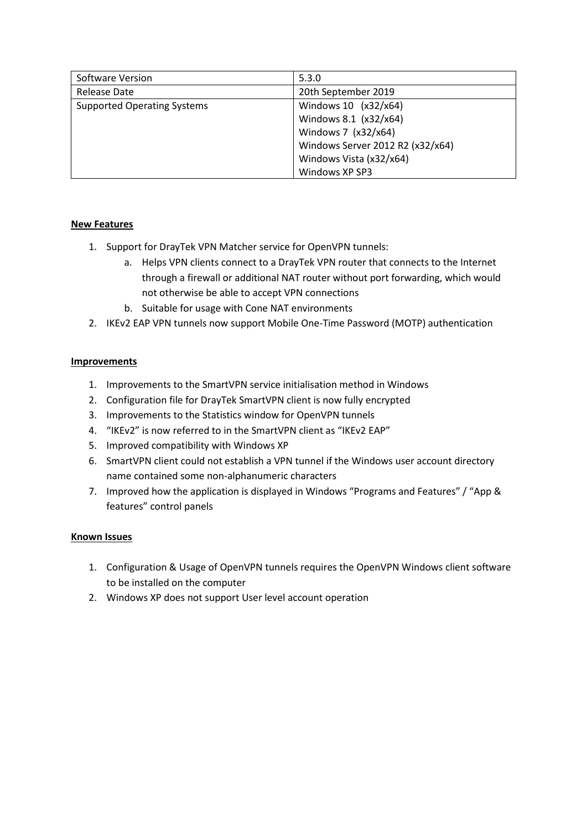| Software Version                   | 5.3.0                            |
|------------------------------------|----------------------------------|
| Release Date                       | 20th September 2019              |
| <b>Supported Operating Systems</b> | Windows 10 (x32/x64)             |
|                                    | Windows 8.1 (x32/x64)            |
|                                    | Windows 7 (x32/x64)              |
|                                    | Windows Server 2012 R2 (x32/x64) |
|                                    | Windows Vista (x32/x64)          |
|                                    | Windows XP SP3                   |

- 1. Support for DrayTek VPN Matcher service for OpenVPN tunnels:
	- a. Helps VPN clients connect to a DrayTek VPN router that connects to the Internet through a firewall or additional NAT router without port forwarding, which would not otherwise be able to accept VPN connections
	- b. Suitable for usage with Cone NAT environments
- 2. IKEv2 EAP VPN tunnels now support Mobile One-Time Password (MOTP) authentication

# **Improvements**

- 1. Improvements to the SmartVPN service initialisation method in Windows
- 2. Configuration file for DrayTek SmartVPN client is now fully encrypted
- 3. Improvements to the Statistics window for OpenVPN tunnels
- 4. "IKEv2" is now referred to in the SmartVPN client as "IKEv2 EAP"
- 5. Improved compatibility with Windows XP
- 6. SmartVPN client could not establish a VPN tunnel if the Windows user account directory name contained some non-alphanumeric characters
- 7. Improved how the application is displayed in Windows "Programs and Features" / "App & features" control panels

- 1. Configuration & Usage of OpenVPN tunnels requires the OpenVPN Windows client software to be installed on the computer
- 2. Windows XP does not support User level account operation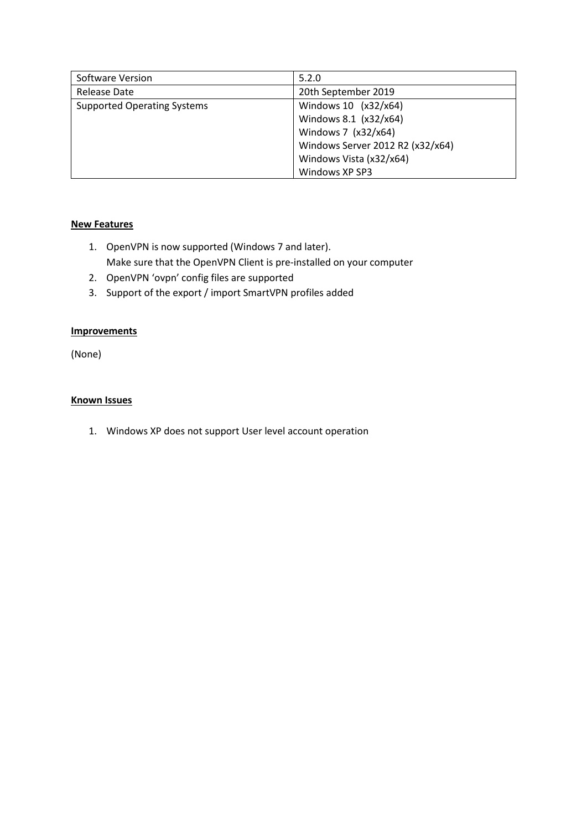| Software Version                   | 5.2.0                            |
|------------------------------------|----------------------------------|
| Release Date                       | 20th September 2019              |
| <b>Supported Operating Systems</b> | Windows 10 (x32/x64)             |
|                                    | Windows 8.1 (x32/x64)            |
|                                    | Windows 7 (x32/x64)              |
|                                    | Windows Server 2012 R2 (x32/x64) |
|                                    | Windows Vista (x32/x64)          |
|                                    | Windows XP SP3                   |

- 1. OpenVPN is now supported (Windows 7 and later). Make sure that the OpenVPN Client is pre-installed on your computer
- 2. OpenVPN 'ovpn' config files are supported
- 3. Support of the export / import SmartVPN profiles added

### **Improvements**

(None)

#### **Known Issues**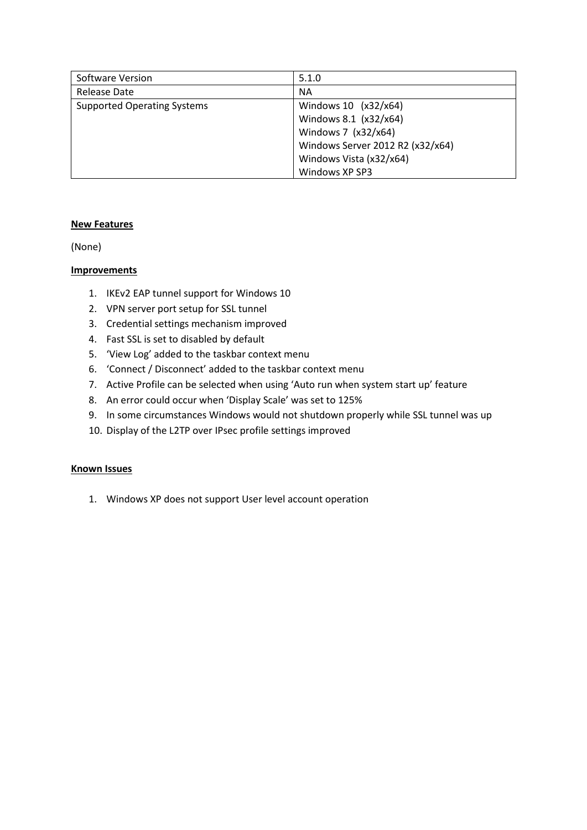| Software Version                   | 5.1.0                            |
|------------------------------------|----------------------------------|
| Release Date                       | <b>NA</b>                        |
| <b>Supported Operating Systems</b> | Windows 10 (x32/x64)             |
|                                    | Windows 8.1 (x32/x64)            |
|                                    | Windows 7 (x32/x64)              |
|                                    | Windows Server 2012 R2 (x32/x64) |
|                                    | Windows Vista (x32/x64)          |
|                                    | Windows XP SP3                   |

(None)

### **Improvements**

- 1. IKEv2 EAP tunnel support for Windows 10
- 2. VPN server port setup for SSL tunnel
- 3. Credential settings mechanism improved
- 4. Fast SSL is set to disabled by default
- 5. 'View Log' added to the taskbar context menu
- 6. 'Connect / Disconnect' added to the taskbar context menu
- 7. Active Profile can be selected when using 'Auto run when system start up' feature
- 8. An error could occur when 'Display Scale' was set to 125%
- 9. In some circumstances Windows would not shutdown properly while SSL tunnel was up
- 10. Display of the L2TP over IPsec profile settings improved

### **Known Issues**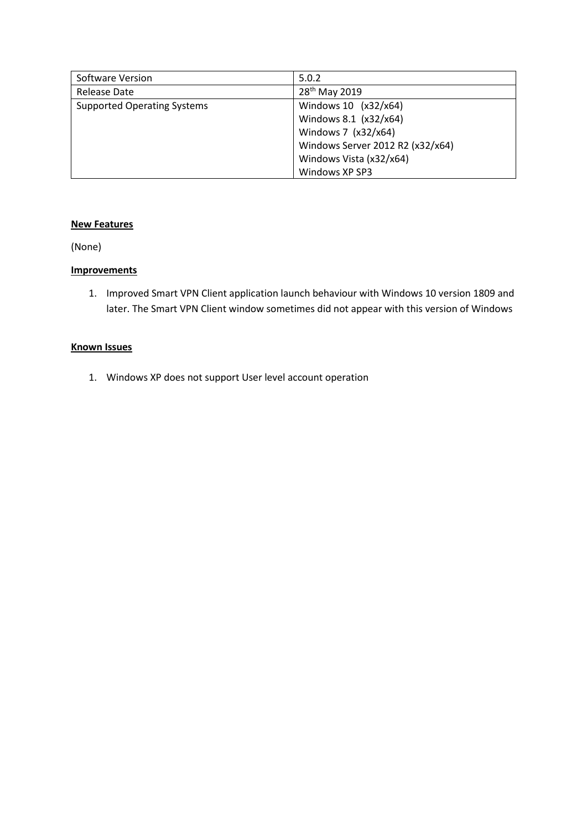| Software Version                   | 5.0.2                            |
|------------------------------------|----------------------------------|
| <b>Release Date</b>                | 28 <sup>th</sup> May 2019        |
| <b>Supported Operating Systems</b> | Windows 10 (x32/x64)             |
|                                    | Windows 8.1 (x32/x64)            |
|                                    | Windows 7 (x32/x64)              |
|                                    | Windows Server 2012 R2 (x32/x64) |
|                                    | Windows Vista (x32/x64)          |
|                                    | Windows XP SP3                   |

(None)

### **Improvements**

1. Improved Smart VPN Client application launch behaviour with Windows 10 version 1809 and later. The Smart VPN Client window sometimes did not appear with this version of Windows

#### **Known Issues**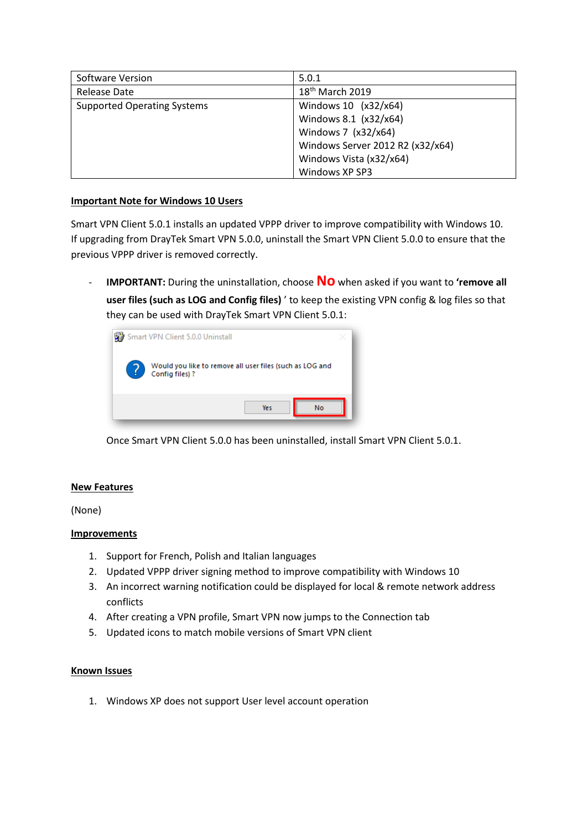| Software Version                   | 5.0.1                            |
|------------------------------------|----------------------------------|
| Release Date                       | $18th$ March 2019                |
| <b>Supported Operating Systems</b> | Windows 10 (x32/x64)             |
|                                    | Windows 8.1 (x32/x64)            |
|                                    | Windows 7 (x32/x64)              |
|                                    | Windows Server 2012 R2 (x32/x64) |
|                                    | Windows Vista (x32/x64)          |
|                                    | Windows XP SP3                   |

#### **Important Note for Windows 10 Users**

Smart VPN Client 5.0.1 installs an updated VPPP driver to improve compatibility with Windows 10. If upgrading from DrayTek Smart VPN 5.0.0, uninstall the Smart VPN Client 5.0.0 to ensure that the previous VPPP driver is removed correctly.

- **IMPORTANT:** During the uninstallation, choose **No** when asked if you want to **'remove all user files (such as LOG and Config files)** ' to keep the existing VPN config & log files so that they can be used with DrayTek Smart VPN Client 5.0.1:



Once Smart VPN Client 5.0.0 has been uninstalled, install Smart VPN Client 5.0.1.

# **New Features**

(None)

# **Improvements**

- 1. Support for French, Polish and Italian languages
- 2. Updated VPPP driver signing method to improve compatibility with Windows 10
- 3. An incorrect warning notification could be displayed for local & remote network address conflicts
- 4. After creating a VPN profile, Smart VPN now jumps to the Connection tab
- 5. Updated icons to match mobile versions of Smart VPN client

#### **Known Issues**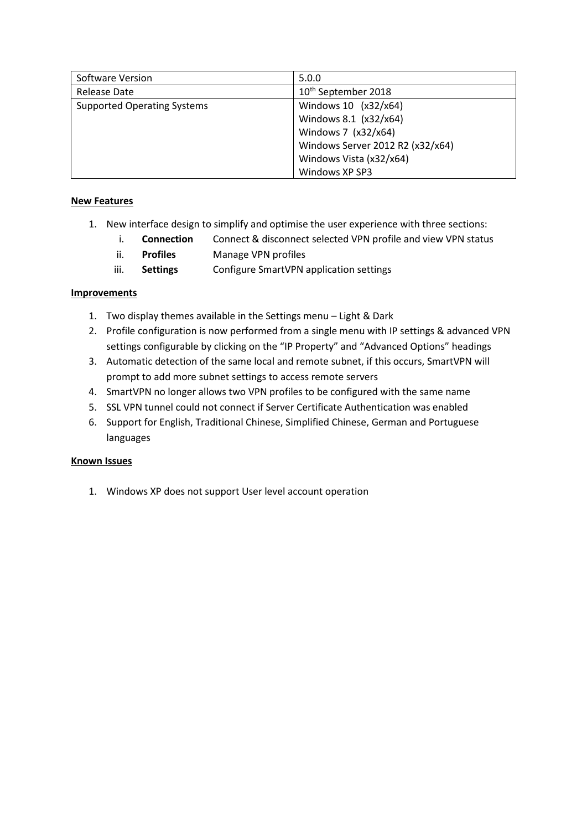| Software Version                   | 5.0.0                            |
|------------------------------------|----------------------------------|
| Release Date                       | 10 <sup>th</sup> September 2018  |
| <b>Supported Operating Systems</b> | Windows 10 (x32/x64)             |
|                                    | Windows 8.1 (x32/x64)            |
|                                    | Windows 7 (x32/x64)              |
|                                    | Windows Server 2012 R2 (x32/x64) |
|                                    | Windows Vista (x32/x64)          |
|                                    | Windows XP SP3                   |

- 1. New interface design to simplify and optimise the user experience with three sections:
	- i. **Connection** Connect & disconnect selected VPN profile and view VPN status
		- ii. **Profiles** Manage VPN profiles
		- iii. **Settings** Configure SmartVPN application settings

# **Improvements**

- 1. Two display themes available in the Settings menu Light & Dark
- 2. Profile configuration is now performed from a single menu with IP settings & advanced VPN settings configurable by clicking on the "IP Property" and "Advanced Options" headings
- 3. Automatic detection of the same local and remote subnet, if this occurs, SmartVPN will prompt to add more subnet settings to access remote servers
- 4. SmartVPN no longer allows two VPN profiles to be configured with the same name
- 5. SSL VPN tunnel could not connect if Server Certificate Authentication was enabled
- 6. Support for English, Traditional Chinese, Simplified Chinese, German and Portuguese languages

# **Known Issues**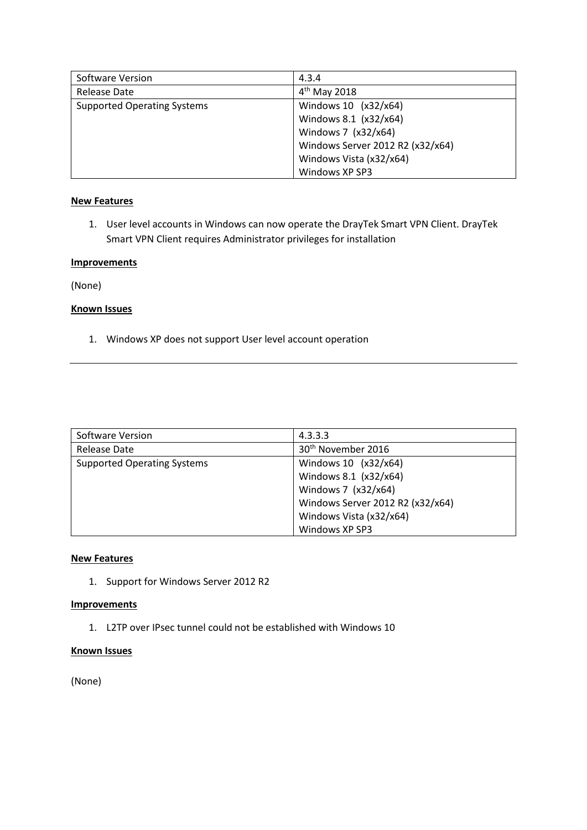| Software Version                   | 4.3.4                            |
|------------------------------------|----------------------------------|
| Release Date                       | $4th$ May 2018                   |
| <b>Supported Operating Systems</b> | Windows 10 (x32/x64)             |
|                                    | Windows 8.1 (x32/x64)            |
|                                    | Windows 7 (x32/x64)              |
|                                    | Windows Server 2012 R2 (x32/x64) |
|                                    | Windows Vista (x32/x64)          |
|                                    | Windows XP SP3                   |

1. User level accounts in Windows can now operate the DrayTek Smart VPN Client. DrayTek Smart VPN Client requires Administrator privileges for installation

#### **Improvements**

(None)

# **Known Issues**

1. Windows XP does not support User level account operation

| Software Version                   | 4.3.3.3                          |
|------------------------------------|----------------------------------|
| Release Date                       | 30 <sup>th</sup> November 2016   |
| <b>Supported Operating Systems</b> | Windows 10 (x32/x64)             |
|                                    | Windows 8.1 (x32/x64)            |
|                                    | Windows 7 (x32/x64)              |
|                                    | Windows Server 2012 R2 (x32/x64) |
|                                    | Windows Vista (x32/x64)          |
|                                    | Windows XP SP3                   |

### **New Features**

1. Support for Windows Server 2012 R2

#### **Improvements**

1. L2TP over IPsec tunnel could not be established with Windows 10

#### **Known Issues**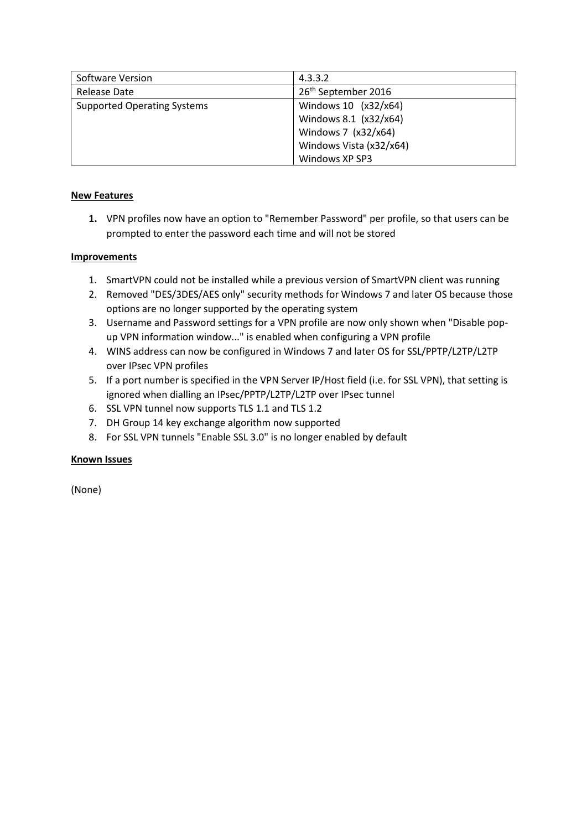| Software Version                   | 4.3.3.2                         |
|------------------------------------|---------------------------------|
| Release Date                       | 26 <sup>th</sup> September 2016 |
| <b>Supported Operating Systems</b> | Windows 10 (x32/x64)            |
|                                    | Windows 8.1 (x32/x64)           |
|                                    | Windows 7 (x32/x64)             |
|                                    | Windows Vista (x32/x64)         |
|                                    | Windows XP SP3                  |

**1.** VPN profiles now have an option to "Remember Password" per profile, so that users can be prompted to enter the password each time and will not be stored

### **Improvements**

- 1. SmartVPN could not be installed while a previous version of SmartVPN client was running
- 2. Removed "DES/3DES/AES only" security methods for Windows 7 and later OS because those options are no longer supported by the operating system
- 3. Username and Password settings for a VPN profile are now only shown when "Disable popup VPN information window..." is enabled when configuring a VPN profile
- 4. WINS address can now be configured in Windows 7 and later OS for SSL/PPTP/L2TP/L2TP over IPsec VPN profiles
- 5. If a port number is specified in the VPN Server IP/Host field (i.e. for SSL VPN), that setting is ignored when dialling an IPsec/PPTP/L2TP/L2TP over IPsec tunnel
- 6. SSL VPN tunnel now supports TLS 1.1 and TLS 1.2
- 7. DH Group 14 key exchange algorithm now supported
- 8. For SSL VPN tunnels "Enable SSL 3.0" is no longer enabled by default

#### **Known Issues**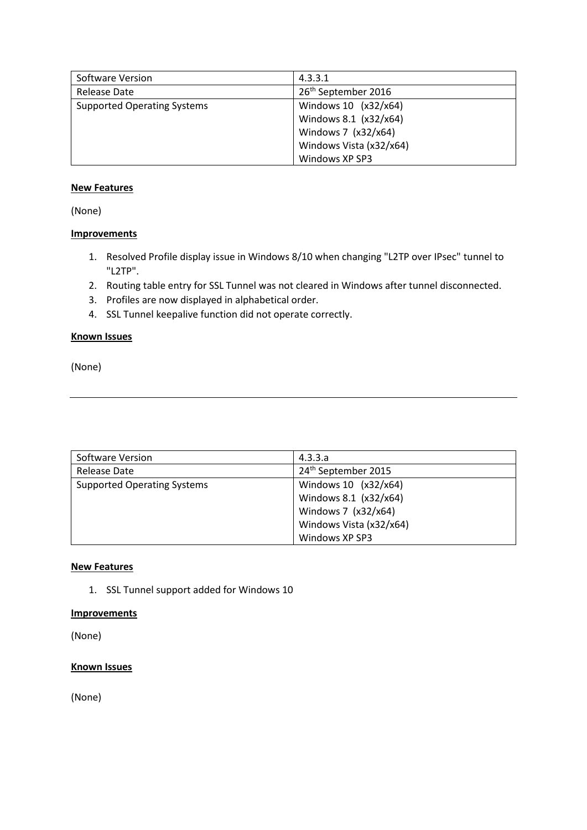| Software Version                   | 4.3.3.1                         |
|------------------------------------|---------------------------------|
| Release Date                       | 26 <sup>th</sup> September 2016 |
| <b>Supported Operating Systems</b> | Windows 10 (x32/x64)            |
|                                    | Windows 8.1 (x32/x64)           |
|                                    | Windows 7 (x32/x64)             |
|                                    | Windows Vista (x32/x64)         |
|                                    | Windows XP SP3                  |

(None)

# **Improvements**

- 1. Resolved Profile display issue in Windows 8/10 when changing "L2TP over IPsec" tunnel to "L2TP".
- 2. Routing table entry for SSL Tunnel was not cleared in Windows after tunnel disconnected.
- 3. Profiles are now displayed in alphabetical order.
- 4. SSL Tunnel keepalive function did not operate correctly.

# **Known Issues**

(None)

| <b>Software Version</b>            | 4.3.3.a                         |
|------------------------------------|---------------------------------|
| Release Date                       | 24 <sup>th</sup> September 2015 |
| <b>Supported Operating Systems</b> | Windows 10 (x32/x64)            |
|                                    | Windows 8.1 (x32/x64)           |
|                                    | Windows 7 (x32/x64)             |
|                                    | Windows Vista (x32/x64)         |
|                                    | Windows XP SP3                  |

# **New Features**

1. SSL Tunnel support added for Windows 10

# **Improvements**

(None)

# **Known Issues**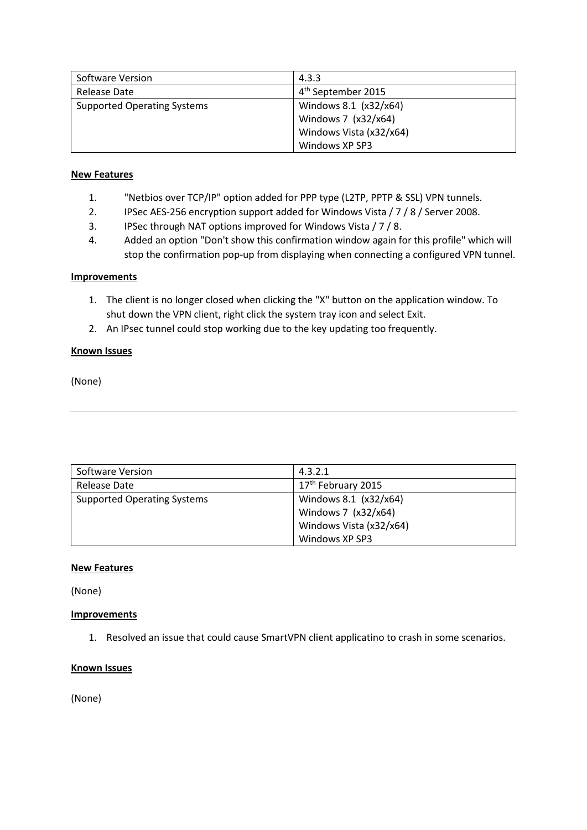| Software Version                   | 4.3.3                          |
|------------------------------------|--------------------------------|
| Release Date                       | 4 <sup>th</sup> September 2015 |
| <b>Supported Operating Systems</b> | Windows 8.1 (x32/x64)          |
|                                    | Windows 7 (x32/x64)            |
|                                    | Windows Vista (x32/x64)        |
|                                    | Windows XP SP3                 |

- 1. "Netbios over TCP/IP" option added for PPP type (L2TP, PPTP & SSL) VPN tunnels.
- 2. IPSec AES-256 encryption support added for Windows Vista / 7 / 8 / Server 2008.
- 3. IPSec through NAT options improved for Windows Vista / 7 / 8.
- 4. Added an option "Don't show this confirmation window again for this profile" which will stop the confirmation pop-up from displaying when connecting a configured VPN tunnel.

#### **Improvements**

- 1. The client is no longer closed when clicking the "X" button on the application window. To shut down the VPN client, right click the system tray icon and select Exit.
- 2. An IPsec tunnel could stop working due to the key updating too frequently.

#### **Known Issues**

(None)

| Software Version                   | 4.3.2.1                        |
|------------------------------------|--------------------------------|
| Release Date                       | 17 <sup>th</sup> February 2015 |
| <b>Supported Operating Systems</b> | Windows 8.1 (x32/x64)          |
|                                    | Windows 7 (x32/x64)            |
|                                    | Windows Vista (x32/x64)        |
|                                    | Windows XP SP3                 |

#### **New Features**

(None)

#### **Improvements**

1. Resolved an issue that could cause SmartVPN client applicatino to crash in some scenarios.

#### **Known Issues**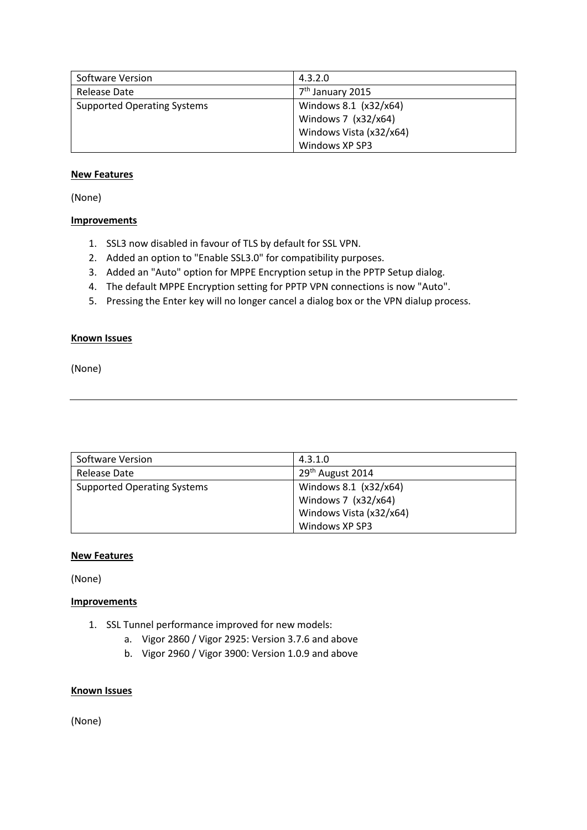| Software Version                   | 4.3.2.0                      |
|------------------------------------|------------------------------|
| Release Date                       | 7 <sup>th</sup> January 2015 |
| <b>Supported Operating Systems</b> | Windows 8.1 (x32/x64)        |
|                                    | Windows 7 (x32/x64)          |
|                                    | Windows Vista (x32/x64)      |
|                                    | Windows XP SP3               |

(None)

### **Improvements**

- 1. SSL3 now disabled in favour of TLS by default for SSL VPN.
- 2. Added an option to "Enable SSL3.0" for compatibility purposes.
- 3. Added an "Auto" option for MPPE Encryption setup in the PPTP Setup dialog.
- 4. The default MPPE Encryption setting for PPTP VPN connections is now "Auto".
- 5. Pressing the Enter key will no longer cancel a dialog box or the VPN dialup process.

#### **Known Issues**

(None)

| Software Version                   | 4.3.1.0                      |
|------------------------------------|------------------------------|
| Release Date                       | 29 <sup>th</sup> August 2014 |
| <b>Supported Operating Systems</b> | Windows 8.1 (x32/x64)        |
|                                    | Windows 7 (x32/x64)          |
|                                    | Windows Vista (x32/x64)      |
|                                    | Windows XP SP3               |

#### **New Features**

(None)

#### **Improvements**

- 1. SSL Tunnel performance improved for new models:
	- a. Vigor 2860 / Vigor 2925: Version 3.7.6 and above
	- b. Vigor 2960 / Vigor 3900: Version 1.0.9 and above

#### **Known Issues**